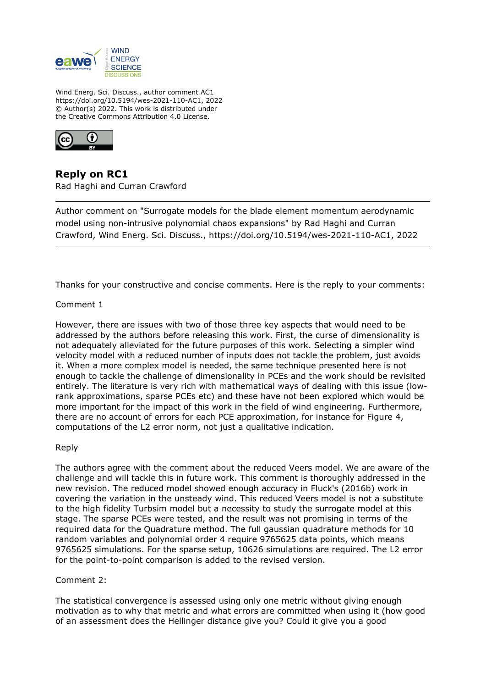

Wind Energ. Sci. Discuss., author comment AC1 https://doi.org/10.5194/wes-2021-110-AC1, 2022 © Author(s) 2022. This work is distributed under the Creative Commons Attribution 4.0 License.



**Reply on RC1** Rad Haghi and Curran Crawford

Author comment on "Surrogate models for the blade element momentum aerodynamic model using non-intrusive polynomial chaos expansions" by Rad Haghi and Curran Crawford, Wind Energ. Sci. Discuss., https://doi.org/10.5194/wes-2021-110-AC1, 2022

Thanks for your constructive and concise comments. Here is the reply to your comments:

## Comment 1

However, there are issues with two of those three key aspects that would need to be addressed by the authors before releasing this work. First, the curse of dimensionality is not adequately alleviated for the future purposes of this work. Selecting a simpler wind velocity model with a reduced number of inputs does not tackle the problem, just avoids it. When a more complex model is needed, the same technique presented here is not enough to tackle the challenge of dimensionality in PCEs and the work should be revisited entirely. The literature is very rich with mathematical ways of dealing with this issue (lowrank approximations, sparse PCEs etc) and these have not been explored which would be more important for the impact of this work in the field of wind engineering. Furthermore, there are no account of errors for each PCE approximation, for instance for Figure 4, computations of the L2 error norm, not just a qualitative indication.

## Reply

The authors agree with the comment about the reduced Veers model. We are aware of the challenge and will tackle this in future work. This comment is thoroughly addressed in the new revision. The reduced model showed enough accuracy in Fluck's (2016b) work in covering the variation in the unsteady wind. This reduced Veers model is not a substitute to the high fidelity Turbsim model but a necessity to study the surrogate model at this stage. The sparse PCEs were tested, and the result was not promising in terms of the required data for the Quadrature method. The full gaussian quadrature methods for 10 random variables and polynomial order 4 require 9765625 data points, which means 9765625 simulations. For the sparse setup, 10626 simulations are required. The L2 error for the point-to-point comparison is added to the revised version.

## Comment 2:

The statistical convergence is assessed using only one metric without giving enough motivation as to why that metric and what errors are committed when using it (how good of an assessment does the Hellinger distance give you? Could it give you a good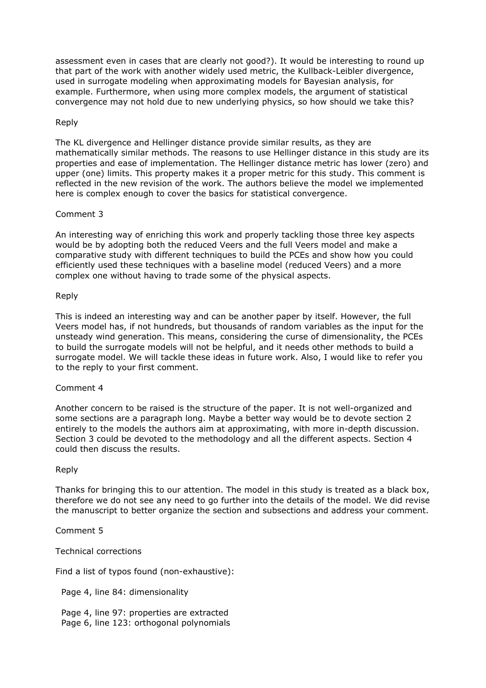assessment even in cases that are clearly not good?). It would be interesting to round up that part of the work with another widely used metric, the Kullback-Leibler divergence, used in surrogate modeling when approximating models for Bayesian analysis, for example. Furthermore, when using more complex models, the argument of statistical convergence may not hold due to new underlying physics, so how should we take this?

## Reply

The KL divergence and Hellinger distance provide similar results, as they are mathematically similar methods. The reasons to use Hellinger distance in this study are its properties and ease of implementation. The Hellinger distance metric has lower (zero) and upper (one) limits. This property makes it a proper metric for this study. This comment is reflected in the new revision of the work. The authors believe the model we implemented here is complex enough to cover the basics for statistical convergence.

# Comment 3

An interesting way of enriching this work and properly tackling those three key aspects would be by adopting both the reduced Veers and the full Veers model and make a comparative study with different techniques to build the PCEs and show how you could efficiently used these techniques with a baseline model (reduced Veers) and a more complex one without having to trade some of the physical aspects.

## Reply

This is indeed an interesting way and can be another paper by itself. However, the full Veers model has, if not hundreds, but thousands of random variables as the input for the unsteady wind generation. This means, considering the curse of dimensionality, the PCEs to build the surrogate models will not be helpful, and it needs other methods to build a surrogate model. We will tackle these ideas in future work. Also, I would like to refer you to the reply to your first comment.

## Comment 4

Another concern to be raised is the structure of the paper. It is not well-organized and some sections are a paragraph long. Maybe a better way would be to devote section 2 entirely to the models the authors aim at approximating, with more in-depth discussion. Section 3 could be devoted to the methodology and all the different aspects. Section 4 could then discuss the results.

## Reply

Thanks for bringing this to our attention. The model in this study is treated as a black box, therefore we do not see any need to go further into the details of the model. We did revise the manuscript to better organize the section and subsections and address your comment.

Comment 5

Technical corrections

Find a list of typos found (non-exhaustive):

Page 4, line 84: dimensionality

 Page 4, line 97: properties are extracted Page 6, line 123: orthogonal polynomials